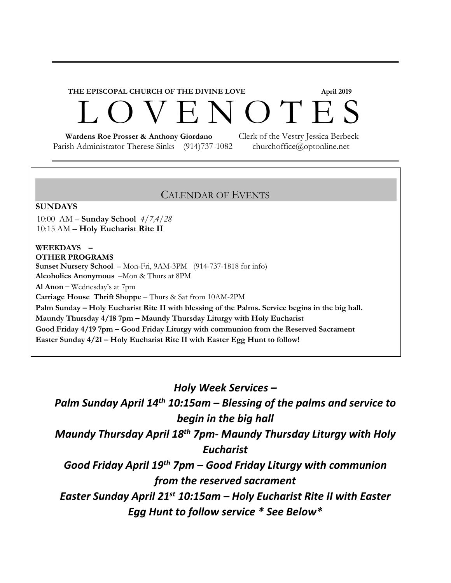# **THE EPISCOPAL CHURCH OF THE DIVINE LOVE April 2019**  ENOTES

Parish Administrator Therese Sinks (914)737-1082 churchoffice@optonline.net

 **Wardens Roe Prosser & Anthony Giordano** Clerk of the Vestry Jessica Berbeck

#### CALENDAR OF EVENTS

#### **SUNDAYS**

10:00 AM – **Sunday School** *4/7,4/28* 10:15 AM – **Holy Eucharist Rite II**

#### **WEEKDAYS – OTHER PROGRAMS**

**Sunset Nursery School** – Mon-Fri, 9AM-3PM (914-737-1818 for info) **Alcoholics Anonymous** –Mon & Thurs at 8PM **Al Anon** – Wednesday's at 7pm **Carriage House Thrift Shoppe** – Thurs & Sat from 10AM-2PM **Palm Sunday – Holy Eucharist Rite II with blessing of the Palms. Service begins in the big hall. Maundy Thursday 4/18 7pm – Maundy Thursday Liturgy with Holy Eucharist Good Friday 4/19 7pm – Good Friday Liturgy with communion from the Reserved Sacrament Easter Sunday 4/21 – Holy Eucharist Rite II with Easter Egg Hunt to follow!**

*Holy Week Services –*

*Palm Sunday April 14th 10:15am – Blessing of the palms and service to begin in the big hall*

*Maundy Thursday April 18th 7pm- Maundy Thursday Liturgy with Holy Eucharist*

*Good Friday April 19th 7pm – Good Friday Liturgy with communion from the reserved sacrament*

*Easter Sunday April 21st 10:15am – Holy Eucharist Rite II with Easter Egg Hunt to follow service \* See Below\**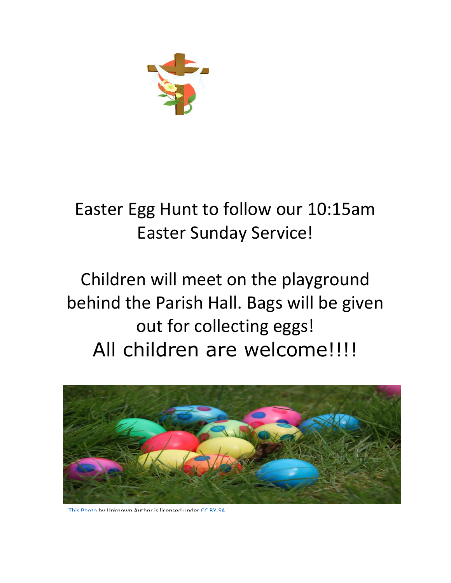

### Easter Egg Hunt to follow our 10:15am Easter Sunday Service!

## Children will meet on the playground behind the Parish Hall. Bags will be given out for collecting eggs! All children are welcome!!!!



[This Photo](http://commons.wikimedia.org/wiki/File:20110423_Easter_eggs_(3).jpg) by Unknown Author is licensed under [CC BY-SA](https://creativecommons.org/licenses/by-sa/3.0/)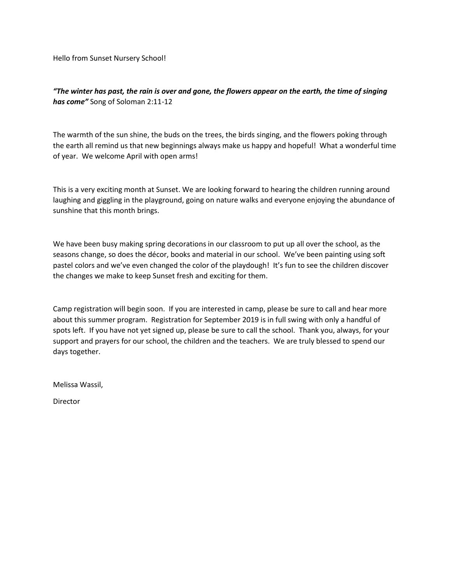Hello from Sunset Nursery School!

*"The winter has past, the rain is over and gone, the flowers appear on the earth, the time of singing has come"* Song of Soloman 2:11-12

The warmth of the sun shine, the buds on the trees, the birds singing, and the flowers poking through the earth all remind us that new beginnings always make us happy and hopeful! What a wonderful time of year. We welcome April with open arms!

This is a very exciting month at Sunset. We are looking forward to hearing the children running around laughing and giggling in the playground, going on nature walks and everyone enjoying the abundance of sunshine that this month brings.

We have been busy making spring decorations in our classroom to put up all over the school, as the seasons change, so does the décor, books and material in our school. We've been painting using soft pastel colors and we've even changed the color of the playdough! It's fun to see the children discover the changes we make to keep Sunset fresh and exciting for them.

Camp registration will begin soon. If you are interested in camp, please be sure to call and hear more about this summer program. Registration for September 2019 is in full swing with only a handful of spots left. If you have not yet signed up, please be sure to call the school. Thank you, always, for your support and prayers for our school, the children and the teachers. We are truly blessed to spend our days together.

Melissa Wassil,

Director